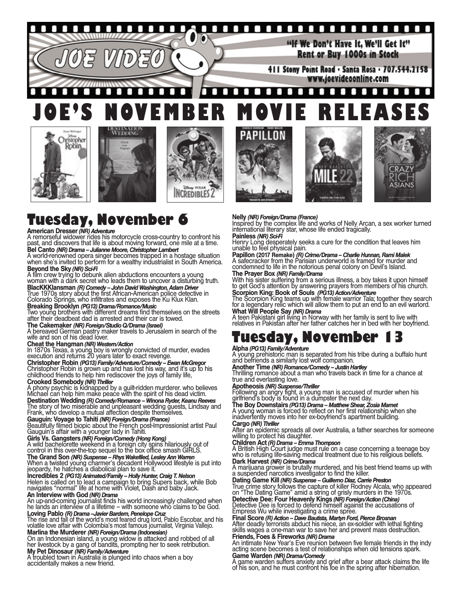### n A ,,,,,,,,,,,,,,,,,,,,, П п n O П п n п П О

"If We Don't Have It. We'll Get It" Rent or Buy 1000s in Stock

411 Stony Point Road · Santa Rosa · 707.544.2158 www.joevideoonline.com

### . . . . п п **JOE'S NOVEMBER MOVIE RELEASES**













# **Tuesday, November 6**

**American Dresser** *(NR) Adventure*<br>A remorseful widower rides his motorcycle cross-country to confront his past, and discovers that life is about moving forward, one mile at a time.<br>Bel Canto (NR) Drama - Julianne Moore, Christopher Lambert

**Bel Canto** *(NR) Drama – Julianne Moore, Christopher Lambert* A world-renowned opera singer becomes trapped in a hostage situation when she's invited to perform for a wealthy industrialist in South America.

**Beyond the Sky** *(NR) Sci-Fi*<br>A film crew trying to debunk alien abductions encounters a young woman with a dark secret who leads them to uncover a disturbing truth.

**BlacKKKlansman** *(R) Comedy – John David Washington, Adam Driver* True 1970s story about the first African-American police detective in Colorado Springs, who infiltrates and exposes the Ku Klux Klan.

**Breaking Brooklyn** *(PG13) Drama/Romance/Music* Two young brothers with different dreams find themselves on the streets

after their deadbeat dad is arrested and their car is towed.

**The Cakemaker** *(NR) Foreign/Studio Q/Drama (Israel)* A bereaved German pastry maker travels to Jerusalem in search of the wife and son of his dead lover.

**Cheat the Hangman** *(NR) Western/Action*<br>In 1870s Texas, a young boy is wrongly convicted of murder, evades execution and returns 20 years later to exact revenge.

## **Christopher Robin** *(PG13) Family/Adventure/Comedy – Ewan McGregor* Christopher Robin is grown up and has lost his way, and it's up to his

childhood friends to help him rediscover the joys of family life,

**Crooked Somebody** (NR) Thriller<br>A phony psychic is kidnapped by a guilt-ridden murderer. who believes Michael can help him make peace with the spirit of his dead victim.

**Destination Wedding** *(R) Comedy/Romance – Winona Ryder, Keanu Reeves* The story of two miserable and unpleasant wedding guests, Lindsay and Frank, who develop a mutual affection despite themselves.

**Gauguin: Voyage to Tahiti** *(NR) Foreign/Drama (France)***<br>Beautifully filmed biopic about the Fren<u>c</u>h post-Impressionist artist Paul** Gauguin's affair with a younger lady in Tahiti.

**Girls Vs. Gangsters** *(NR) Foreign/Comedy (Hong Kong)* A wild bachelorette weekend in a foreign city spins hilariously out of control in this over-the-top sequel to the box office smash GIRLS.

**The Grand Son** *(NR) Suspense – Rhys Wakefiled, Lesley Ann Warren* When a twisted young charmer's decadent Hollywood lifestyle is put into jeopardy, he hatches a diabolical plan to save it.

**Incredibles 2** *(PG13) Animated/Family – Holly Hunter, Craig T. Nelson***<br>Helen is called on to lead a campaign to br<u>ing</u> Supers back, while Bob** navigates "normal" life at home with Violet, Dash and baby Jack.

**An Interview with God** *(NR) Drama* An up-and-coming journalist finds his world increasingly challenged when he lands an interview of a lifetime – with someone who claims to be God.

**Loving Pablo** *(R) Drama –Javier Bardem, Penelope Cruz* The rise and fall of the world's most feared drug lord, Pablo Escobar, and his volatile love affair with Colombia's most famous journalist, Virginia Vallejo.

**Marlina the Murderer** *(NR) Foreign/Drama (Indonesian)* On an Indonesian island, a young widow is attacked and robbed of all her livestock by a gang of bandits, prompting her to seek retribution.

**My Pet Dinosaur** *(NR) Family/Adventure*<br>A troubled town in Australia is plunged into chaos when a boy accidentally makes a new friend.

**Nelly** *(NR) Foreign/Drama (France)*<br>Inspired by the complex life and works of Nelly Arcan, a sex worker turned international literary star, whose life ended tragically.

**Painless** *(NR) Sci-Fi*<br>Henry Long desperately seeks a cure for the condition that leaves him

### unable to feel physical pain. **Papillon (2017 Remake)** *(R) Crime/Drama – Charlie Hunnan, Rami Malek* A safecracker from the Parisian underworld is framed for murder and condemned to life in the notorious penal colony on Devil's Island.

**The Prayer Box** *(NR) Family/Drama*<br>With his sister suffering from a serious illness, a boy takes it upon himself to get God's attention by answering prayers from members of his church.

**Scorpion King: Book of Souls** *(PG13) Action/Adventure* The Scorpion King teams up with female warrior Tala; together they search for a legendary relic which will allow them to put an end to an evil warlord. **What Will People Say** *(NR) Drama* A teen Pakistani girl living in Norway with her family is sent to live with

relatives in Pakistan after her father catches her in bed with her boyfriend.

# **Tuesday, November 13**

**Alpha** *(PG13) Family/Adventure*<br>A young prehistoric man is separated from his tribe during a buffalo hunt and befriends a similarly lost wolf companion.

**Another Time** *(NR) Romance/Comedy – Justin Hartley* Thrilling romance about a man who travels back in time for a chance at true and everlasting love.<br>**Apotheosis** *(NR) Suspense/Thriller* 

**Apotheosis** *(NR) Suspense/Thriller* Following an angry fight, a young man is accused of murder when his girlfriend's body is found in a dumpster the next day.

# **The Boy Downstairs** *(PG13) Drama – Matthew Shear, Zosia Mamet* A young woman is forced to reflect on her first relationship when she

inadvertently moves into her ex-boyfriend's apartment building.<br>**Cargo (NR) Thriller** 

**Cargo** *(NR) Thriller*<br>After an epidemic spreads all over Australia, a father searches for someone willing to protect his daughter.

**Children Act** *(R) Drama – Emma Thompson*<br>A British High Court judge must rule on a case concerning a teenage boy who is refusing life-saving medical treatment due to his religious beliefs.

**Dark Harvest** *(NR) Crime/Drama*<br>A marijuana grower is brutally murdered, and his best friend teams up with a suspended narcotics investigator to find the killer.

**Dating Game Kill** *(NR) Suspense – Guillerno Diaz, Carrie Preston* True crime story follows the capture of killer Rodney Alcala, who appeared on "The Dating Game" amid a string of grisly murders in the 1970s.

**Detective Dee: Four Heavenly Kings** *(NR) Foreign/Action (China)*<br>Detective Dee is forced to defend himself against the accusations of Empress Wu while investigating a crime spree.

**Final Score** *(R) Action – Dave Bautista, Martyn Ford, Pierce Brosnan***<br>After deadly terrorists abduct his niece, an ex-soldier with lethal fighting** skills wages a one-man war to save her and prevent mass destruction.

**Friends, Foes & Fireworks** *(NR) Drama*<br>An intimate New Year's Eve reunion between five female friends in the indy acting scene becomes a test of relationships when old tensions spark.

**Game Warden** *(NR) Drama/Comedy*<br>A game warden suffers anxiety and grief after a bear attack claims the life of his son, and he must confront his foe in the spring after hibernation.